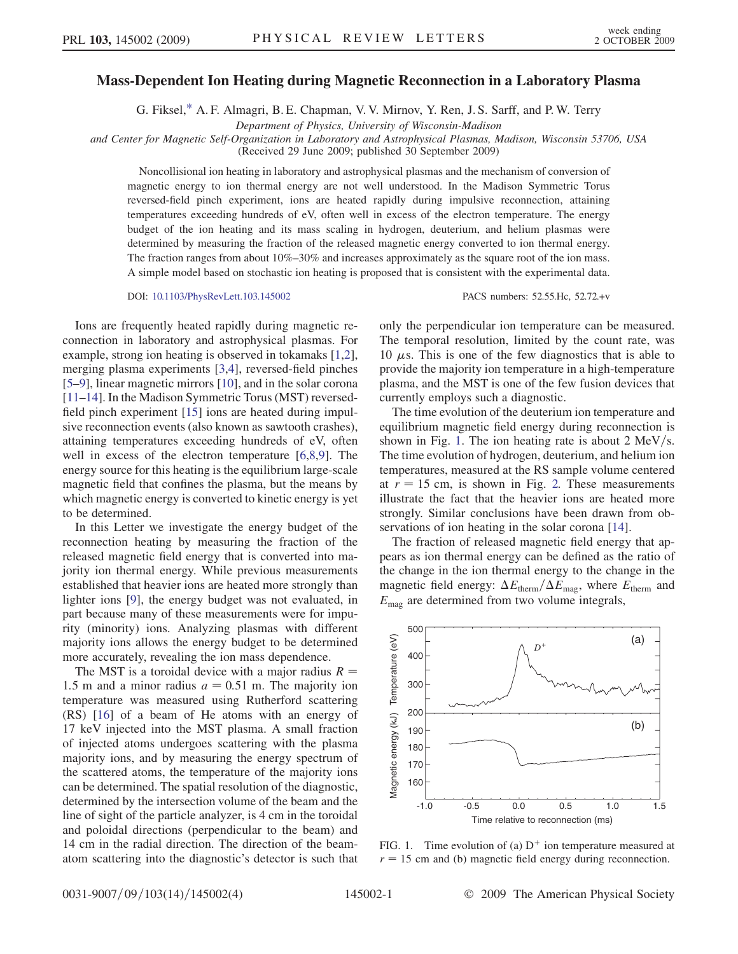## <span id="page-0-1"></span>Mass-Dependent Ion Heating during Magnetic Reconnection in a Laboratory Plasma

G. Fiksel,[\\*](#page-3-0) A. F. Almagri, B. E. Chapman, V. V. Mirnov, Y. Ren, J. S. Sarff, and P. W. Terry

Department of Physics, University of Wisconsin-Madison

and Center for Magnetic Self-Organization in Laboratory and Astrophysical Plasmas, Madison, Wisconsin 53706, USA (Received 29 June 2009; published 30 September 2009)

Noncollisional ion heating in laboratory and astrophysical plasmas and the mechanism of conversion of magnetic energy to ion thermal energy are not well understood. In the Madison Symmetric Torus reversed-field pinch experiment, ions are heated rapidly during impulsive reconnection, attaining temperatures exceeding hundreds of eV, often well in excess of the electron temperature. The energy budget of the ion heating and its mass scaling in hydrogen, deuterium, and helium plasmas were determined by measuring the fraction of the released magnetic energy converted to ion thermal energy. The fraction ranges from about 10%–30% and increases approximately as the square root of the ion mass. A simple model based on stochastic ion heating is proposed that is consistent with the experimental data.

DOI: [10.1103/PhysRevLett.103.145002](http://dx.doi.org/10.1103/PhysRevLett.103.145002) PACS numbers: 52.55.Hc, 52.72.+v

Ions are frequently heated rapidly during magnetic reconnection in laboratory and astrophysical plasmas. For example, strong ion heating is observed in tokamaks [[1](#page-3-1),[2\]](#page-3-2), merging plasma experiments [[3](#page-3-3)[,4\]](#page-3-4), reversed-field pinches [\[5–](#page-3-5)[9](#page-3-6)], linear magnetic mirrors [[10](#page-3-7)], and in the solar corona [\[11–](#page-3-8)[14\]](#page-3-9). In the Madison Symmetric Torus (MST) reversedfield pinch experiment [\[15\]](#page-3-10) ions are heated during impulsive reconnection events (also known as sawtooth crashes), attaining temperatures exceeding hundreds of eV, often well in excess of the electron temperature [[6](#page-3-11),[8](#page-3-12)[,9\]](#page-3-6). The energy source for this heating is the equilibrium large-scale magnetic field that confines the plasma, but the means by which magnetic energy is converted to kinetic energy is yet to be determined.

In this Letter we investigate the energy budget of the reconnection heating by measuring the fraction of the released magnetic field energy that is converted into majority ion thermal energy. While previous measurements established that heavier ions are heated more strongly than lighter ions [\[9](#page-3-6)], the energy budget was not evaluated, in part because many of these measurements were for impurity (minority) ions. Analyzing plasmas with different majority ions allows the energy budget to be determined more accurately, revealing the ion mass dependence.

The MST is a toroidal device with a major radius  $R =$ 1.5 m and a minor radius  $a = 0.51$  m. The majority ion temperature was measured using Rutherford scattering (RS) [[16](#page-3-13)] of a beam of He atoms with an energy of 17 keV injected into the MST plasma. A small fraction of injected atoms undergoes scattering with the plasma majority ions, and by measuring the energy spectrum of the scattered atoms, the temperature of the majority ions can be determined. The spatial resolution of the diagnostic, determined by the intersection volume of the beam and the line of sight of the particle analyzer, is 4 cm in the toroidal and poloidal directions (perpendicular to the beam) and 14 cm in the radial direction. The direction of the beamatom scattering into the diagnostic's detector is such that only the perpendicular ion temperature can be measured. The temporal resolution, limited by the count rate, was 10  $\mu$ s. This is one of the few diagnostics that is able to provide the majority ion temperature in a high-temperature plasma, and the MST is one of the few fusion devices that currently employs such a diagnostic.

The time evolution of the deuterium ion temperature and equilibrium magnetic field energy during reconnection is shown in Fig. [1.](#page-0-0) The ion heating rate is about  $2 \text{ MeV/s}$ . The time evolution of hydrogen, deuterium, and helium ion temperatures, measured at the RS sample volume centered at  $r = 15$  cm, is shown in Fig. [2.](#page-1-0) These measurements illustrate the fact that the heavier ions are heated more strongly. Similar conclusions have been drawn from observations of ion heating in the solar corona [[14](#page-3-9)].

The fraction of released magnetic field energy that appears as ion thermal energy can be defined as the ratio of the change in the ion thermal energy to the change in the magnetic field energy:  $\Delta E_{\text{therm}}/\Delta E_{\text{mag}}$ , where  $E_{\text{therm}}$  and  $E_{\text{mag}}$  are determined from two volume integrals,

<span id="page-0-0"></span>

FIG. 1. Time evolution of (a)  $D^+$  ion temperature measured at  $r = 15$  cm and (b) magnetic field energy during reconnection.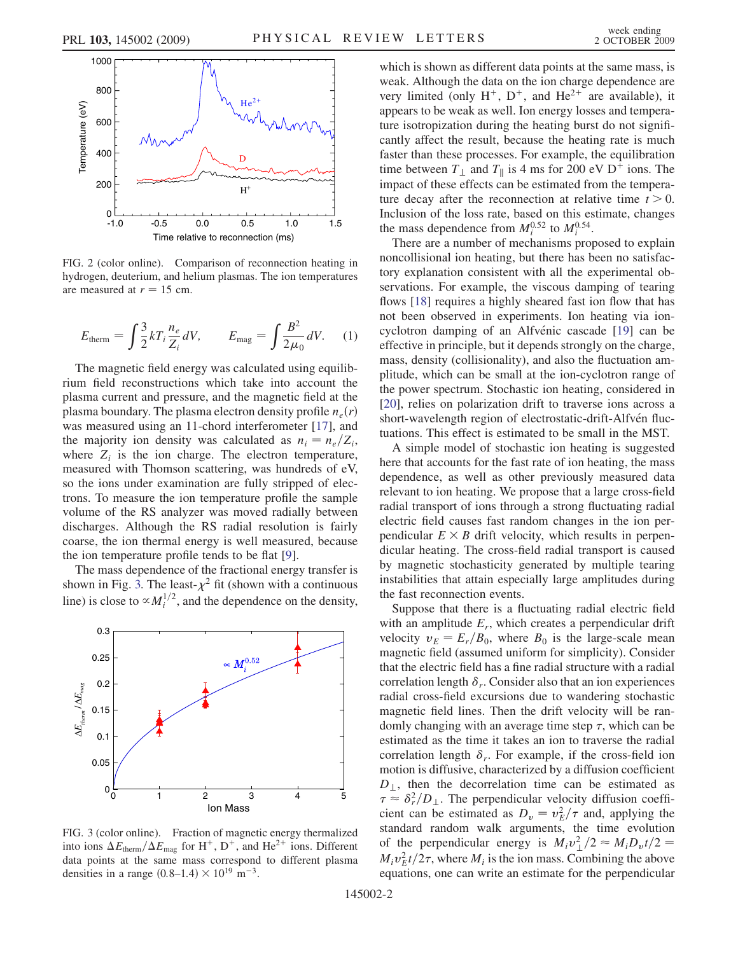<span id="page-1-0"></span>

FIG. 2 (color online). Comparison of reconnection heating in hydrogen, deuterium, and helium plasmas. The ion temperatures are measured at  $r = 15$  cm.

$$
E_{\text{therm}} = \int \frac{3}{2} k T_i \frac{n_e}{Z_i} dV, \qquad E_{\text{mag}} = \int \frac{B^2}{2\mu_0} dV. \tag{1}
$$

The magnetic field energy was calculated using equilibrium field reconstructions which take into account the plasma current and pressure, and the magnetic field at the plasma boundary. The plasma electron density profile  $n_e(r)$ was measured using an 11-chord interferometer [\[17\]](#page-3-14), and the majority ion density was calculated as  $n_i = n_e/Z_i$ , where  $Z_i$  is the ion charge. The electron temperature, measured with Thomson scattering, was hundreds of eV, so the ions under examination are fully stripped of electrons. To measure the ion temperature profile the sample volume of the RS analyzer was moved radially between discharges. Although the RS radial resolution is fairly coarse, the ion thermal energy is well measured, because the ion temperature profile tends to be flat [\[9](#page-3-6)].

The mass dependence of the fractional energy transfer is shown in Fig. [3.](#page-1-1) The least- $\chi^2$  fit (shown with a continuous line) is close to  $\propto M_i^{1/2}$ , and the dependence on the density,

<span id="page-1-1"></span>

FIG. 3 (color online). Fraction of magnetic energy thermalized into ions  $\Delta E_{\text{therm}}/\Delta E_{\text{mag}}$  for H<sup>+</sup>, D<sup>+</sup>, and He<sup>2+</sup> ions. Different<br>data points at the same mass correspond to different plasma data points at the same mass correspond to different plasma densities in a range  $(0.8-1.4) \times 10^{19}$  m<sup>-3</sup>.

which is shown as different data points at the same mass, is weak. Although the data on the ion charge dependence are very limited (only  $H^+$ ,  $D^+$ , and  $He^{2+}$  are available), it appears to be weak as well. Ion energy losses and temperature isotropization during the heating burst do not significantly affect the result, because the heating rate is much faster than these processes. For example, the equilibration time between  $T_{\perp}$  and  $T_{\parallel}$  is 4 ms for 200 eV D<sup>+</sup> ions. The impact of these effects can be estimated from the temperature decay after the reconnection at relative time  $t > 0$ . Inclusion of the loss rate, based on this estimate, changes the mass dependence from  $M_i^{0.52}$  to  $M_i^{0.54}$ .

There are a number of mechanisms proposed to explain noncollisional ion heating, but there has been no satisfactory explanation consistent with all the experimental observations. For example, the viscous damping of tearing flows [[18](#page-3-15)] requires a highly sheared fast ion flow that has not been observed in experiments. Ion heating via ion-cyclotron damping of an Alfvénic cascade [[19](#page-3-16)] can be effective in principle, but it depends strongly on the charge, mass, density (collisionality), and also the fluctuation amplitude, which can be small at the ion-cyclotron range of the power spectrum. Stochastic ion heating, considered in [\[20\]](#page-3-17), relies on polarization drift to traverse ions across a short-wavelength region of electrostatic-drift-Alfvén fluctuations. This effect is estimated to be small in the MST.

A simple model of stochastic ion heating is suggested here that accounts for the fast rate of ion heating, the mass dependence, as well as other previously measured data relevant to ion heating. We propose that a large cross-field radial transport of ions through a strong fluctuating radial electric field causes fast random changes in the ion perpendicular  $E \times B$  drift velocity, which results in perpendicular heating. The cross-field radial transport is caused by magnetic stochasticity generated by multiple tearing instabilities that attain especially large amplitudes during the fast reconnection events.

Suppose that there is a fluctuating radial electric field with an amplitude  $E_r$ , which creates a perpendicular drift velocity  $v_E = E_r/B_0$ , where  $B_0$  is the large-scale mean magnetic field (assumed uniform for simplicity). Consider that the electric field has a fine radial structure with a radial correlation length  $\delta_r$ . Consider also that an ion experiences radial cross-field excursions due to wandering stochastic magnetic field lines. Then the drift velocity will be randomly changing with an average time step  $\tau$ , which can be estimated as the time it takes an ion to traverse the radial correlation length  $\delta_r$ . For example, if the cross-field ion motion is diffusive, characterized by a diffusion coefficient  $D_{\perp}$ , then the decorrelation time can be estimated as  $\tau \approx \delta_r^2/D_\perp$ . The perpendicular velocity diffusion coefficient can be estimated as  $D_v = v_E^2 / \tau$  and, applying the standard random walk arguments, the time evolution of the perpendicular energy is  $M_i v_\perp^2 / 2 \approx M_i D_v t / 2 = M_i v_\perp^2 t / 2 \pi$  where M, is the ion mass Combining the above  $M_i v_E^2 t/2\tau$ , where  $M_i$  is the ion mass. Combining the above<br>equations, one can write an estimate for the perpendicular equations, one can write an estimate for the perpendicular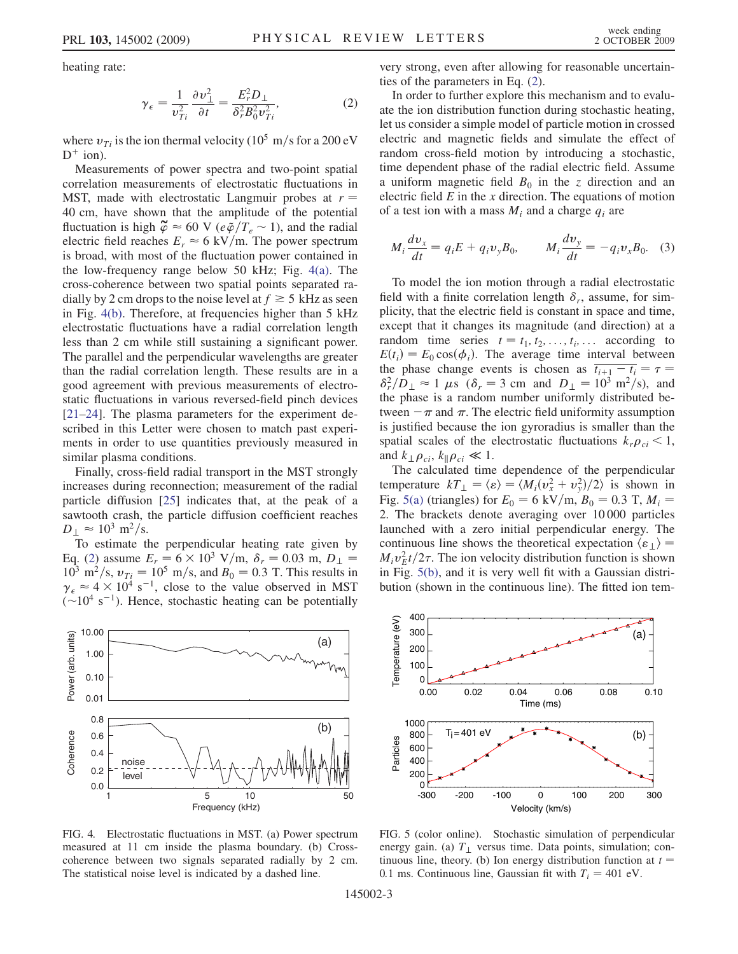<span id="page-2-1"></span>heating rate:

$$
\gamma_{\epsilon} = \frac{1}{v_{Ti}^2} \frac{\partial v_{\perp}^2}{\partial t} = \frac{E_r^2 D_{\perp}}{\delta_r^2 B_0^2 v_{Ti}^2},\tag{2}
$$

where  $v_{Ti}$  is the ion thermal velocity (10<sup>5</sup> m/s for a 200 eV  $D^+$  ion).

Measurements of power spectra and two-point spatial correlation measurements of electrostatic fluctuations in MST, made with electrostatic Langmuir probes at  $r =$ 40 cm, have shown that the amplitude of the potential fluctuation is high  $\tilde{\varphi} \approx 60 \text{ V} (e\tilde{\varphi}/T_e \sim 1)$ , and the radial electric field reaches  $F \approx 6 \text{ kV/m}$ . The nower spectrum electric field reaches  $E_r \approx 6 \text{ kV/m}$ . The power spectrum<br>is broad, with most of the fluctuation power contained in is broad, with most of the fluctuation power contained in the low-frequency range below 50 kHz; Fig. [4\(a\)](#page-2-0). The cross-coherence between two spatial points separated radially by 2 cm drops to the noise level at  $f \ge 5$  kHz as seen in Fig. [4\(b\)](#page-2-0). Therefore, at frequencies higher than 5 kHz electrostatic fluctuations have a radial correlation length less than 2 cm while still sustaining a significant power. The parallel and the perpendicular wavelengths are greater than the radial correlation length. These results are in a good agreement with previous measurements of electrostatic fluctuations in various reversed-field pinch devices [\[21–](#page-3-18)[24\]](#page-3-19). The plasma parameters for the experiment described in this Letter were chosen to match past experiments in order to use quantities previously measured in similar plasma conditions.

Finally, cross-field radial transport in the MST strongly increases during reconnection; measurement of the radial particle diffusion [\[25\]](#page-3-20) indicates that, at the peak of a sawtooth crash, the particle diffusion coefficient reaches  $D_{\perp} \approx 10^3 \text{ m}^2/\text{s}.$ <br>To estimate the

To estimate the perpendicular heating rate given by Eq. ([2\)](#page-2-1) assume  $E_r = 6 \times 10^3$  V/m,  $\delta_r = 0.03$  m,  $D_{\perp} =$  $10^3$  m<sup>2</sup>/s,  $v_{Ti} = 10^5$  m/s, and  $B_0 = 0.3$  T. This results in  $\gamma_{\epsilon} \approx 4 \times 10^4$  s<sup>-1</sup>, close to the value observed in MST ( $\sim 10^4$  s<sup>-1</sup>). Hence stochastic heating can be notentially  $(\sim 10^4 \text{ s}^{-1})$ . Hence, stochastic heating can be potentially



<span id="page-2-0"></span>FIG. 4. Electrostatic fluctuations in MST. (a) Power spectrum measured at 11 cm inside the plasma boundary. (b) Crosscoherence between two signals separated radially by 2 cm. The statistical noise level is indicated by a dashed line.

very strong, even after allowing for reasonable uncertainties of the parameters in Eq. [\(2\)](#page-2-1).

In order to further explore this mechanism and to evaluate the ion distribution function during stochastic heating, let us consider a simple model of particle motion in crossed electric and magnetic fields and simulate the effect of random cross-field motion by introducing a stochastic, time dependent phase of the radial electric field. Assume a uniform magnetic field  $B_0$  in the z direction and an electric field  $E$  in the  $x$  direction. The equations of motion of a test ion with a mass  $M_i$  and a charge  $q_i$  are

$$
M_i \frac{dv_x}{dt} = q_i E + q_i v_y B_0, \qquad M_i \frac{dv_y}{dt} = -q_i v_x B_0. \quad (3)
$$

To model the ion motion through a radial electrostatic field with a finite correlation length  $\delta_r$ , assume, for simplicity, that the electric field is constant in space and time, except that it changes its magnitude (and direction) at a random time series  $t = t_1, t_2, \ldots, t_i, \ldots$  according to  $E(t_i) = E_0 \cos(\phi_i)$ . The average time interval between the phase change events is chosen as  $\overline{t_{i+1} - t_i} = \tau$  $\delta_r^2 / D_{\perp} \approx 1 \mu s \ (\delta_r = 3 \text{ cm and } D_{\perp} = 10^3 \text{ m}^2/\text{s})$ , and<br>the phase is a random number uniformly distributed bethe phase is a random number uniformly distributed between  $-\pi$  and  $\pi$ . The electric field uniformity assumption is justified because the ion gyroradius is smaller than the spatial scales of the electrostatic fluctuations  $k_r \rho_{ci} < 1$ , and  $k_\perp \rho_{ci}$ ,  $k_\parallel \rho_{ci} \ll 1$ .

The calculated time dependence of the perpendicular temperature  $kT_{\perp} = \langle \varepsilon \rangle = \langle M_i (v_x^2 + v_y^2)/2 \rangle$  is shown in<br>Fig. 5(a) (triangles) for  $F_s = 6$  kV/m  $R_s = 0$  3 T  $M_s =$ Fig. [5\(a\)](#page-2-2) (triangles) for  $E_0 = 6 \text{ kV/m}, B_0 = 0.3 \text{ T}, M_i =$ 2. The brackets denote averaging over 10 000 particles launched with a zero initial perpendicular energy. The continuous line shows the theoretical expectation  $\langle \varepsilon_1 \rangle$  =  $M_i v_E^2 t/2\tau$ . The ion velocity distribution function is shown<br>in Fig. 5(b) and it is very well fit with a Gaussian distriin Fig. [5\(b\),](#page-2-2) and it is very well fit with a Gaussian distribution (shown in the continuous line). The fitted ion tem-



<span id="page-2-2"></span>FIG. 5 (color online). Stochastic simulation of perpendicular energy gain. (a)  $T_{\perp}$  versus time. Data points, simulation; continuous line, theory. (b) Ion energy distribution function at  $t =$ 0.1 ms. Continuous line, Gaussian fit with  $T_i = 401$  eV.